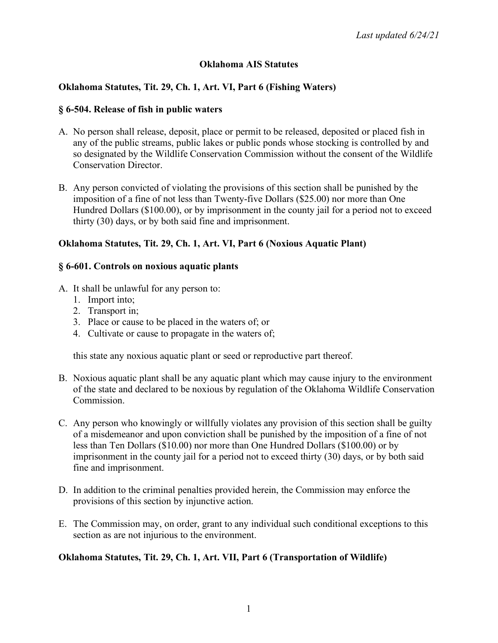# **Oklahoma AIS Statutes**

# **Oklahoma Statutes, Tit. 29, Ch. 1, Art. VI, Part 6 (Fishing Waters)**

#### **§ 6-504. Release of fish in public waters**

- A. No person shall release, deposit, place or permit to be released, deposited or placed fish in any of the public streams, public lakes or public ponds whose stocking is controlled by and so designated by the Wildlife Conservation Commission without the consent of the Wildlife Conservation Director.
- B. Any person convicted of violating the provisions of this section shall be punished by the imposition of a fine of not less than Twenty-five Dollars (\$25.00) nor more than One Hundred Dollars (\$100.00), or by imprisonment in the county jail for a period not to exceed thirty (30) days, or by both said fine and imprisonment.

## **Oklahoma Statutes, Tit. 29, Ch. 1, Art. VI, Part 6 (Noxious Aquatic Plant)**

#### **§ 6-601. Controls on noxious aquatic plants**

- A. It shall be unlawful for any person to:
	- 1. Import into;
	- 2. Transport in;
	- 3. Place or cause to be placed in the waters of; or
	- 4. Cultivate or cause to propagate in the waters of;

this state any noxious aquatic plant or seed or reproductive part thereof.

- B. Noxious aquatic plant shall be any aquatic plant which may cause injury to the environment of the state and declared to be noxious by regulation of the Oklahoma Wildlife Conservation Commission.
- C. Any person who knowingly or willfully violates any provision of this section shall be guilty of a misdemeanor and upon conviction shall be punished by the imposition of a fine of not less than Ten Dollars (\$10.00) nor more than One Hundred Dollars (\$100.00) or by imprisonment in the county jail for a period not to exceed thirty (30) days, or by both said fine and imprisonment.
- D. In addition to the criminal penalties provided herein, the Commission may enforce the provisions of this section by injunctive action.
- E. The Commission may, on order, grant to any individual such conditional exceptions to this section as are not injurious to the environment.

## **Oklahoma Statutes, Tit. 29, Ch. 1, Art. VII, Part 6 (Transportation of Wildlife)**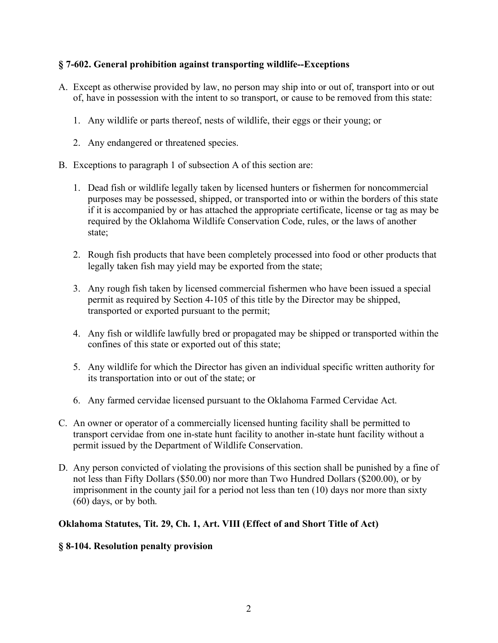## **§ 7-602. General prohibition against transporting wildlife--Exceptions**

- A. Except as otherwise provided by law, no person may ship into or out of, transport into or out of, have in possession with the intent to so transport, or cause to be removed from this state:
	- 1. Any wildlife or parts thereof, nests of wildlife, their eggs or their young; or
	- 2. Any endangered or threatened species.
- B. Exceptions to paragraph 1 of subsection A of this section are:
	- 1. Dead fish or wildlife legally taken by licensed hunters or fishermen for noncommercial purposes may be possessed, shipped, or transported into or within the borders of this state if it is accompanied by or has attached the appropriate certificate, license or tag as may be required by the Oklahoma Wildlife Conservation Code, rules, or the laws of another state;
	- 2. Rough fish products that have been completely processed into food or other products that legally taken fish may yield may be exported from the state;
	- 3. Any rough fish taken by licensed commercial fishermen who have been issued a special permit as required by Section 4-105 of this title by the Director may be shipped, transported or exported pursuant to the permit;
	- 4. Any fish or wildlife lawfully bred or propagated may be shipped or transported within the confines of this state or exported out of this state;
	- 5. Any wildlife for which the Director has given an individual specific written authority for its transportation into or out of the state; or
	- 6. Any farmed cervidae licensed pursuant to the Oklahoma Farmed Cervidae Act.
- C. An owner or operator of a commercially licensed hunting facility shall be permitted to transport cervidae from one in-state hunt facility to another in-state hunt facility without a permit issued by the Department of Wildlife Conservation.
- D. Any person convicted of violating the provisions of this section shall be punished by a fine of not less than Fifty Dollars (\$50.00) nor more than Two Hundred Dollars (\$200.00), or by imprisonment in the county jail for a period not less than ten (10) days nor more than sixty (60) days, or by both.

## **Oklahoma Statutes, Tit. 29, Ch. 1, Art. VIII (Effect of and Short Title of Act)**

## **§ 8-104. Resolution penalty provision**